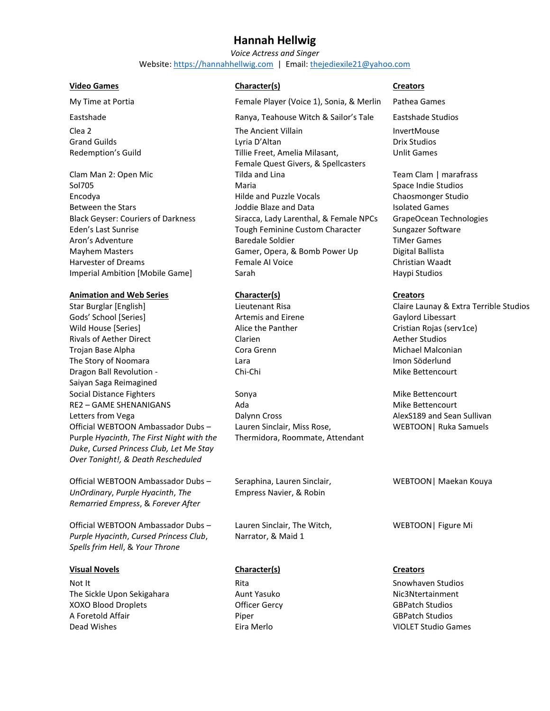# **Hannah Hellwig**

*Voice Actress and Singer* Website[: https://hannahhellwig.com](https://hannahhellwig.com/) | Email[: thejediexile21@yahoo.com](mailto:thejediexile21@yahoo.com)

### **Video Games Character(s) Creators**

## **Animation and Web Series Character(s) Creators**

Gods' School [Series] The Content of Artemis and Eirene Content of Gaylord Libessart Wild House [Series] The Alice the Panther Cristian Rojas (serv1ce) Alice the Panther Cristian Rojas (serv1ce) Rivals of Aether Direct **Clarien** Clarien **Clarien** Aether Studios Trojan Base Alpha National Cora Grenn Nichael Malconian Nichael Malconian The Story of Noomara **Imon Söderlund** Lara Imon Söderlund Dragon Ball Revolution - Saiyan Saga Reimagined Social Distance Fighters Sonya Mike Bettencourt RE2 – GAME SHENANIGANS Ada Mike Bettencourt Letters from Vega **Dalynn Cross** Communication and Sean Sullivan Cross AlexS189 and Sean Sullivan Official WEBTOON Ambassador Dubs – Purple *Hyacinth*, *The First Night with the Duke*, *Cursed Princess Club, Let Me Stay Over Tonight!, & Death Rescheduled*

Official WEBTOON Ambassador Dubs – *UnOrdinary*, *Purple Hyacinth*, *The Remarried Empress*, & *Forever After*

Official WEBTOON Ambassador Dubs – *Purple Hyacinth*, *Cursed Princess Club*, *Spells frim Hell*, & *Your Throne*

## **Visual Novels Character(s) Creators**

not It Rita Snowhaven Studios (Not It Rita Snowhaven Studios in the Snowhaven Studios in the Snowhaven Studios The Sickle Upon Sekigahara **Aunt Yasuko Nical Aunt Yasuko Nic3Ntertainment** XOXO Blood Droplets **Container Officer Gercy** GBPatch Studios A Foretold Affair Piper GBPatch Studios Dead Wishes Eira Merlo VIOLET Studio Games

My Time at Portia Female Player (Voice 1), Sonia, & Merlin Pathea Games

Eastshade Ranya, Teahouse Witch & Sailor's Tale Eastshade Studios Clea 2 The Ancient Villain InvertMouse Grand Guilds **Calculation Community** Lyria D'Altan **Calculation Community Community Community** Drive Studios Redemption's Guild Tillie Freet, Amelia Milasant, Female Quest Givers, & Spellcasters Clam Man 2: Open Mic **The Clam Clam Clam Team Clam | marafrass** Tilda and Lina Team Team Clam | marafrass Sol705 Maria Maria Space Indie Studios Nuevo et al. 2012 - Space Indie Studios Encodya Hilde and Puzzle Vocals Chaosmonger Studio Between the Stars **Internal Isolated Games** Joddie Blaze and Data Isolated Games Black Geyser: Couriers of Darkness Siracca, Lady Larenthal, & Female NPCs GrapeOcean Technologies Eden's Last Sunrise Tough Feminine Custom Character Sungazer Software Aron's Adventure Times and Baredale Soldier Times of Times Games Mayhem Masters **Gamer, Opera, & Bomb Power Up** Digital Ballista Harvester of Dreams Female AI Voice Christian Waadt Imperial Ambition [Mobile Game] Sarah Haypi Studios National Baypi Studios

Chi-Chi Mike Bettencourt

Lauren Sinclair, Miss Rose, Thermidora, Roommate, Attendant

Seraphina, Lauren Sinclair, Empress Navier, & Robin

Lauren Sinclair, The Witch, Narrator, & Maid 1

Unlit Games

Star Burglar [English] The Lieutenant Risa Claire Launay & Extra Terrible Studios

WEBTOON| Ruka Samuels

WEBTOON| Maekan Kouya

WEBTOON| Figure Mi